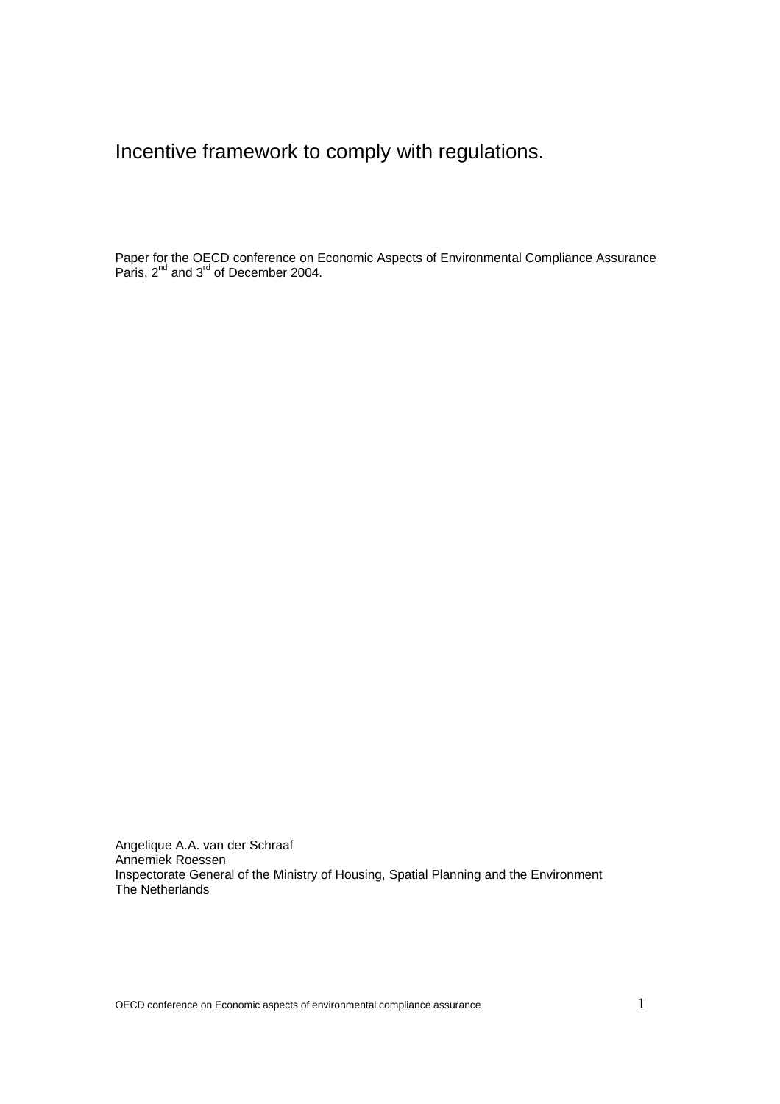Incentive framework to comply with regulations.

Paper for the OECD conference on Economic Aspects of Environmental Compliance Assurance Paris, 2<sup>nd</sup> and 3<sup>rd</sup> of December 2004.

Angelique A.A. van der Schraaf Annemiek Roessen Inspectorate General of the Ministry of Housing, Spatial Planning and the Environment The Netherlands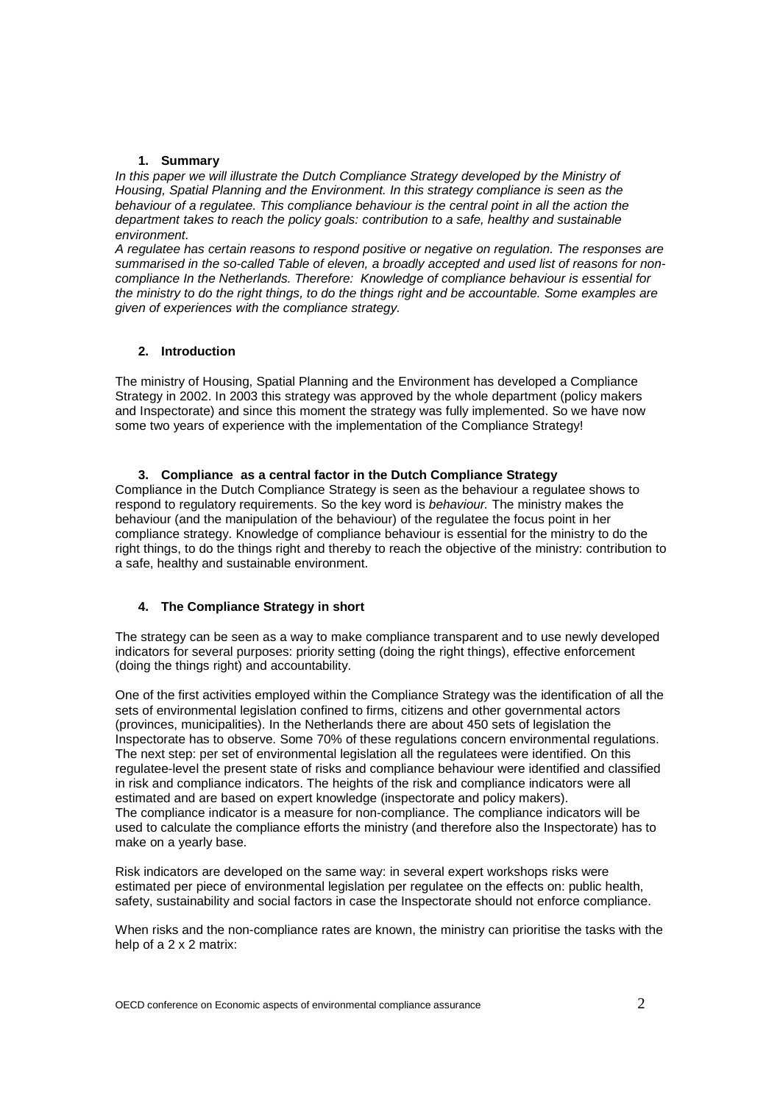### **1. Summary**

In this paper we will illustrate the Dutch Compliance Strategy developed by the Ministry of *Housing, Spatial Planning and the Environment. In this strategy compliance is seen as the behaviour of a regulatee. This compliance behaviour is the central point in all the action the department takes to reach the policy goals: contribution to a safe, healthy and sustainable environment.* 

*A regulatee has certain reasons to respond positive or negative on regulation. The responses are summarised in the so-called Table of eleven, a broadly accepted and used list of reasons for noncompliance In the Netherlands. Therefore: Knowledge of compliance behaviour is essential for the ministry to do the right things, to do the things right and be accountable. Some examples are given of experiences with the compliance strategy.* 

# **2. Introduction**

The ministry of Housing, Spatial Planning and the Environment has developed a Compliance Strategy in 2002. In 2003 this strategy was approved by the whole department (policy makers and Inspectorate) and since this moment the strategy was fully implemented. So we have now some two years of experience with the implementation of the Compliance Strategy!

### **3. Compliance as a central factor in the Dutch Compliance Strategy**

Compliance in the Dutch Compliance Strategy is seen as the behaviour a regulatee shows to respond to regulatory requirements. So the key word is *behaviour.* The ministry makes the behaviour (and the manipulation of the behaviour) of the regulatee the focus point in her compliance strategy. Knowledge of compliance behaviour is essential for the ministry to do the right things, to do the things right and thereby to reach the objective of the ministry: contribution to a safe, healthy and sustainable environment.

### **4. The Compliance Strategy in short**

The strategy can be seen as a way to make compliance transparent and to use newly developed indicators for several purposes: priority setting (doing the right things), effective enforcement (doing the things right) and accountability.

One of the first activities employed within the Compliance Strategy was the identification of all the sets of environmental legislation confined to firms, citizens and other governmental actors (provinces, municipalities). In the Netherlands there are about 450 sets of legislation the Inspectorate has to observe. Some 70% of these regulations concern environmental regulations. The next step: per set of environmental legislation all the regulatees were identified. On this regulatee-level the present state of risks and compliance behaviour were identified and classified in risk and compliance indicators. The heights of the risk and compliance indicators were all estimated and are based on expert knowledge (inspectorate and policy makers). The compliance indicator is a measure for non-compliance. The compliance indicators will be used to calculate the compliance efforts the ministry (and therefore also the Inspectorate) has to make on a yearly base.

Risk indicators are developed on the same way: in several expert workshops risks were estimated per piece of environmental legislation per regulatee on the effects on: public health, safety, sustainability and social factors in case the Inspectorate should not enforce compliance.

When risks and the non-compliance rates are known, the ministry can prioritise the tasks with the help of a 2 x 2 matrix: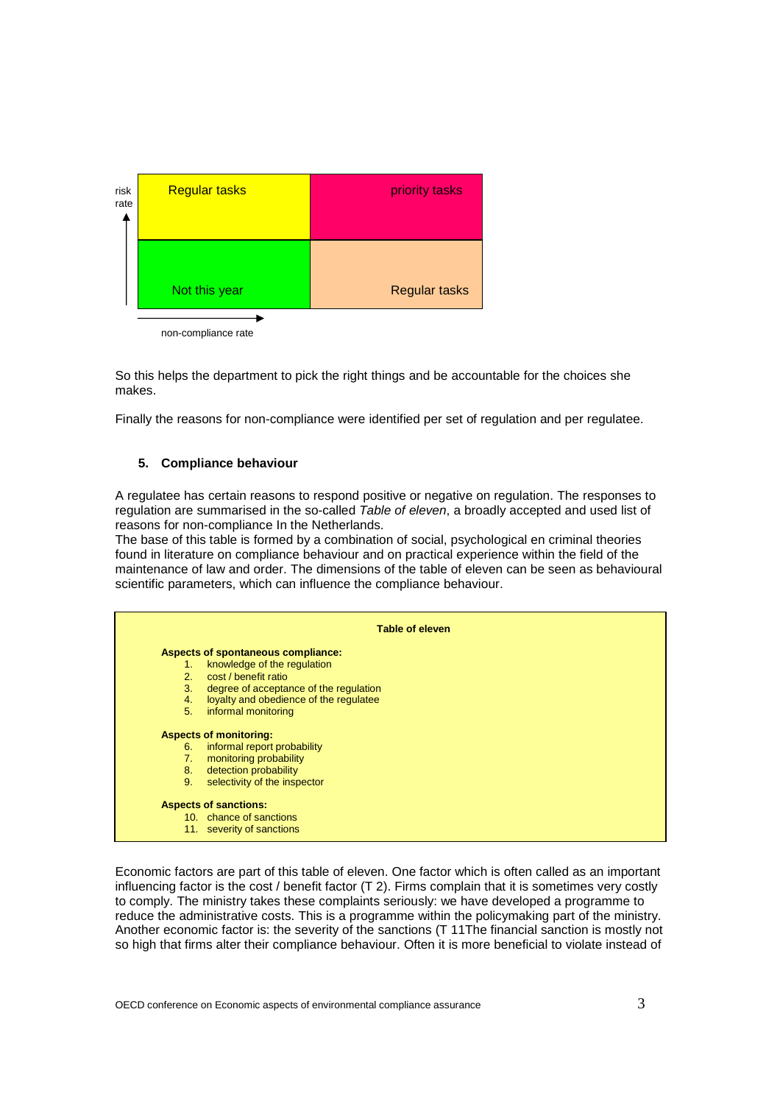

So this helps the department to pick the right things and be accountable for the choices she makes.

Finally the reasons for non-compliance were identified per set of regulation and per regulatee.

#### **5. Compliance behaviour**

A regulatee has certain reasons to respond positive or negative on regulation. The responses to regulation are summarised in the so-called *Table of eleven*, a broadly accepted and used list of reasons for non-compliance In the Netherlands.

The base of this table is formed by a combination of social, psychological en criminal theories found in literature on compliance behaviour and on practical experience within the field of the maintenance of law and order. The dimensions of the table of eleven can be seen as behavioural scientific parameters, which can influence the compliance behaviour.



Economic factors are part of this table of eleven. One factor which is often called as an important influencing factor is the cost / benefit factor (T 2). Firms complain that it is sometimes very costly to comply. The ministry takes these complaints seriously: we have developed a programme to reduce the administrative costs. This is a programme within the policymaking part of the ministry. Another economic factor is: the severity of the sanctions (T 11The financial sanction is mostly not so high that firms alter their compliance behaviour. Often it is more beneficial to violate instead of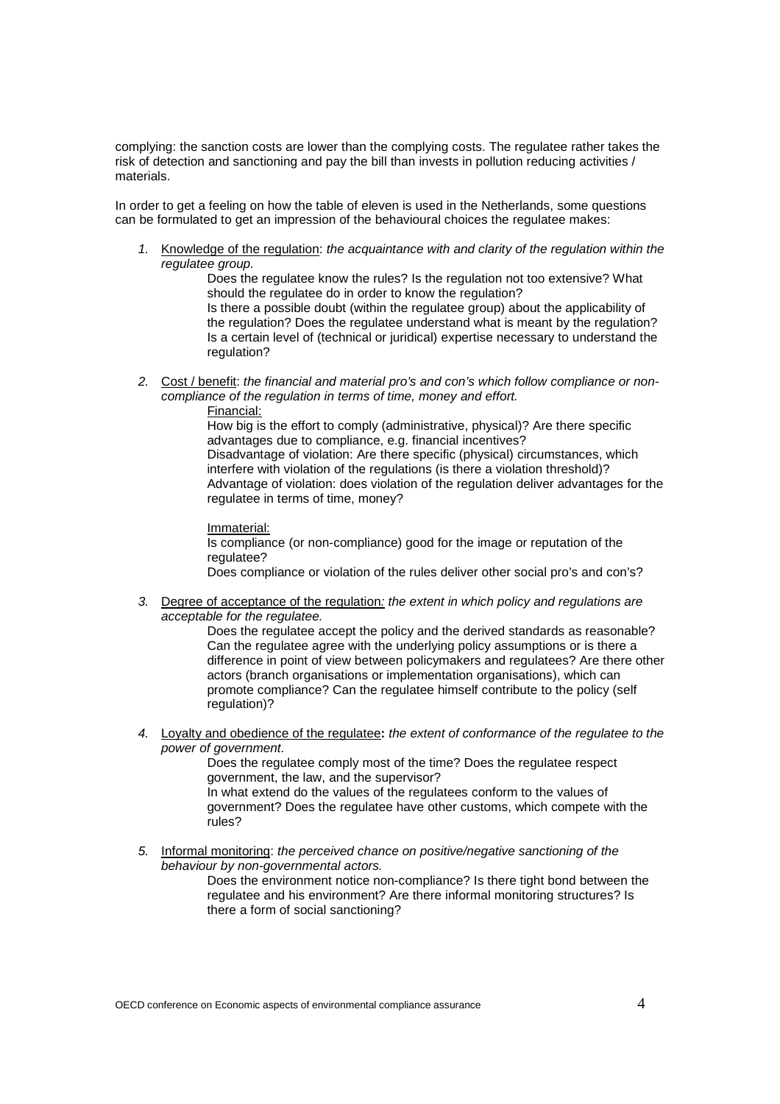complying: the sanction costs are lower than the complying costs. The regulatee rather takes the risk of detection and sanctioning and pay the bill than invests in pollution reducing activities / materials.

In order to get a feeling on how the table of eleven is used in the Netherlands, some questions can be formulated to get an impression of the behavioural choices the regulatee makes:

*1.* Knowledge of the regulation: *the acquaintance with and clarity of the regulation within the regulatee group.* 

Does the regulatee know the rules? Is the regulation not too extensive? What should the regulatee do in order to know the regulation? Is there a possible doubt (within the regulatee group) about the applicability of

the regulation? Does the regulatee understand what is meant by the regulation? Is a certain level of (technical or juridical) expertise necessary to understand the regulation?

*2.* Cost / benefit: *the financial and material pro's and con's which follow compliance or noncompliance of the regulation in terms of time, money and effort.* 

Financial:

How big is the effort to comply (administrative, physical)? Are there specific advantages due to compliance, e.g. financial incentives? Disadvantage of violation: Are there specific (physical) circumstances, which interfere with violation of the regulations (is there a violation threshold)? Advantage of violation: does violation of the regulation deliver advantages for the regulatee in terms of time, money?

Immaterial: Is compliance (or non-compliance) good for the image or reputation of the regulatee? Does compliance or violation of the rules deliver other social pro's and con's?

*3.* Degree of acceptance of the regulation*: the extent in which policy and regulations are acceptable for the regulatee.* 

Does the regulatee accept the policy and the derived standards as reasonable? Can the regulatee agree with the underlying policy assumptions or is there a difference in point of view between policymakers and regulatees? Are there other actors (branch organisations or implementation organisations), which can promote compliance? Can the regulatee himself contribute to the policy (self regulation)?

*4.* Loyalty and obedience of the regulatee**:** *the extent of conformance of the regulatee to the power of government.* 

Does the regulatee comply most of the time? Does the regulatee respect government, the law, and the supervisor?

In what extend do the values of the regulatees conform to the values of government? Does the regulatee have other customs, which compete with the rules?

*5.* Informal monitoring: *the perceived chance on positive/negative sanctioning of the behaviour by non-governmental actors.* 

Does the environment notice non-compliance? Is there tight bond between the regulatee and his environment? Are there informal monitoring structures? Is there a form of social sanctioning?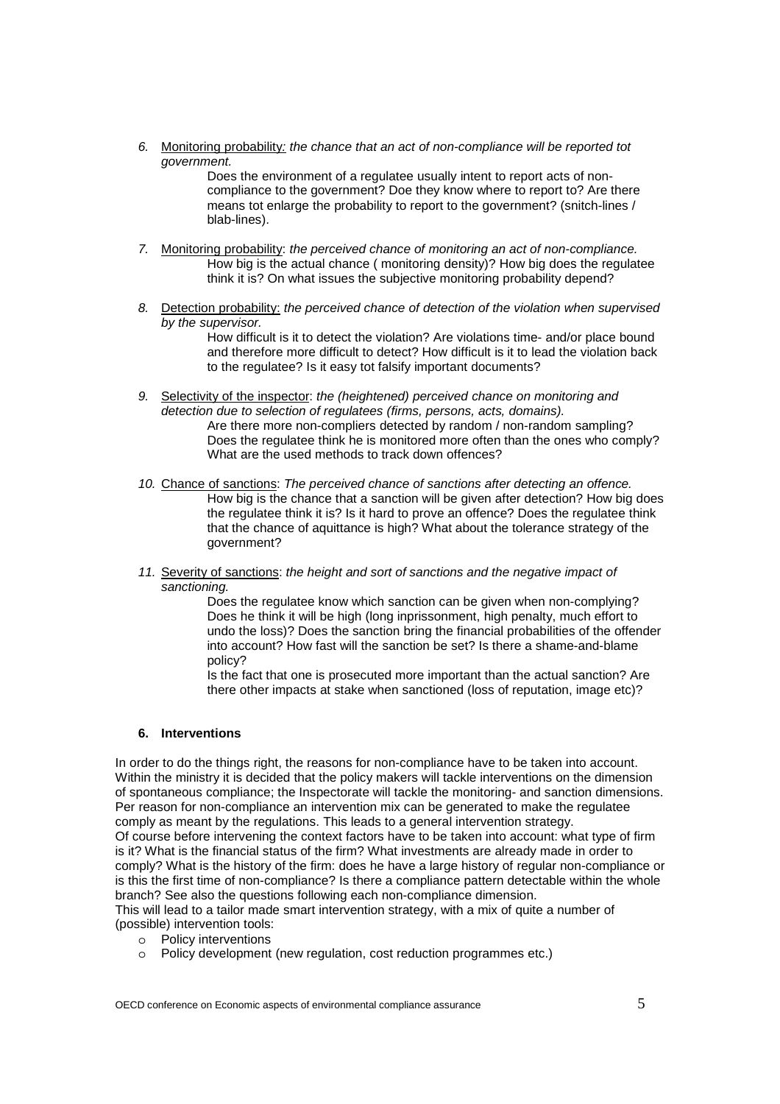*6.* Monitoring probability*: the chance that an act of non-compliance will be reported tot government.* 

Does the environment of a regulatee usually intent to report acts of noncompliance to the government? Doe they know where to report to? Are there means tot enlarge the probability to report to the government? (snitch-lines / blab-lines).

- *7.* Monitoring probability: *the perceived chance of monitoring an act of non-compliance.*  How big is the actual chance ( monitoring density)? How big does the regulatee think it is? On what issues the subjective monitoring probability depend?
- *8.* Detection probability: *the perceived chance of detection of the violation when supervised by the supervisor.*

How difficult is it to detect the violation? Are violations time- and/or place bound and therefore more difficult to detect? How difficult is it to lead the violation back to the regulatee? Is it easy tot falsify important documents?

*9.* Selectivity of the inspector: *the (heightened) perceived chance on monitoring and detection due to selection of regulatees (firms, persons, acts, domains).* 

Are there more non-compliers detected by random / non-random sampling? Does the regulatee think he is monitored more often than the ones who comply? What are the used methods to track down offences?

- *10.* Chance of sanctions: *The perceived chance of sanctions after detecting an offence.*  How big is the chance that a sanction will be given after detection? How big does the regulatee think it is? Is it hard to prove an offence? Does the regulatee think that the chance of aquittance is high? What about the tolerance strategy of the government?
- *11.* Severity of sanctions: *the height and sort of sanctions and the negative impact of sanctioning.*

Does the regulatee know which sanction can be given when non-complying? Does he think it will be high (long inprissonment, high penalty, much effort to undo the loss)? Does the sanction bring the financial probabilities of the offender into account? How fast will the sanction be set? Is there a shame-and-blame policy?

Is the fact that one is prosecuted more important than the actual sanction? Are there other impacts at stake when sanctioned (loss of reputation, image etc)?

### **6. Interventions**

In order to do the things right, the reasons for non-compliance have to be taken into account. Within the ministry it is decided that the policy makers will tackle interventions on the dimension of spontaneous compliance; the Inspectorate will tackle the monitoring- and sanction dimensions. Per reason for non-compliance an intervention mix can be generated to make the regulatee comply as meant by the regulations. This leads to a general intervention strategy.

Of course before intervening the context factors have to be taken into account: what type of firm is it? What is the financial status of the firm? What investments are already made in order to comply? What is the history of the firm: does he have a large history of regular non-compliance or is this the first time of non-compliance? Is there a compliance pattern detectable within the whole branch? See also the questions following each non-compliance dimension.

This will lead to a tailor made smart intervention strategy, with a mix of quite a number of (possible) intervention tools:

- o Policy interventions
- o Policy development (new regulation, cost reduction programmes etc.)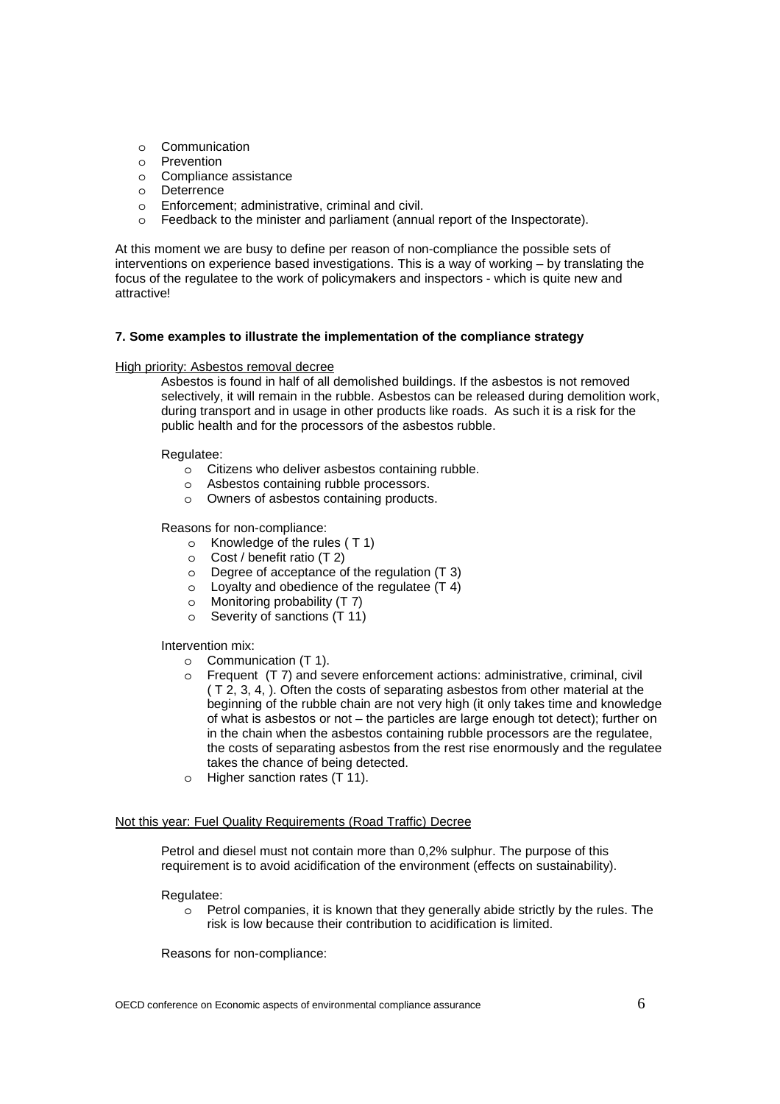- o Communication
- o Prevention
- o Compliance assistance
- o Deterrence
- o Enforcement; administrative, criminal and civil.
- o Feedback to the minister and parliament (annual report of the Inspectorate).

At this moment we are busy to define per reason of non-compliance the possible sets of interventions on experience based investigations. This is a way of working – by translating the focus of the regulatee to the work of policymakers and inspectors - which is quite new and attractive!

#### **7. Some examples to illustrate the implementation of the compliance strategy**

#### High priority: Asbestos removal decree

Asbestos is found in half of all demolished buildings. If the asbestos is not removed selectively, it will remain in the rubble. Asbestos can be released during demolition work, during transport and in usage in other products like roads. As such it is a risk for the public health and for the processors of the asbestos rubble.

Regulatee:

- o Citizens who deliver asbestos containing rubble.
- o Asbestos containing rubble processors.
- o Owners of asbestos containing products.

Reasons for non-compliance:

- o Knowledge of the rules ( T 1)
- o Cost / benefit ratio (T 2)
- $\circ$  Degree of acceptance of the regulation (T 3)
- $\circ$  Loyalty and obedience of the regulatee  $(T 4)$
- o Monitoring probability (T 7)
- o Severity of sanctions (T 11)

#### Intervention mix:

- o Communication (T 1).
- o Frequent (T 7) and severe enforcement actions: administrative, criminal, civil ( T 2, 3, 4, ). Often the costs of separating asbestos from other material at the beginning of the rubble chain are not very high (it only takes time and knowledge of what is asbestos or not – the particles are large enough tot detect); further on in the chain when the asbestos containing rubble processors are the regulatee, the costs of separating asbestos from the rest rise enormously and the regulatee takes the chance of being detected.
- o Higher sanction rates (T 11).

## Not this year: Fuel Quality Requirements (Road Traffic) Decree

Petrol and diesel must not contain more than 0,2% sulphur. The purpose of this requirement is to avoid acidification of the environment (effects on sustainability).

#### Regulatee:

o Petrol companies, it is known that they generally abide strictly by the rules. The risk is low because their contribution to acidification is limited.

Reasons for non-compliance: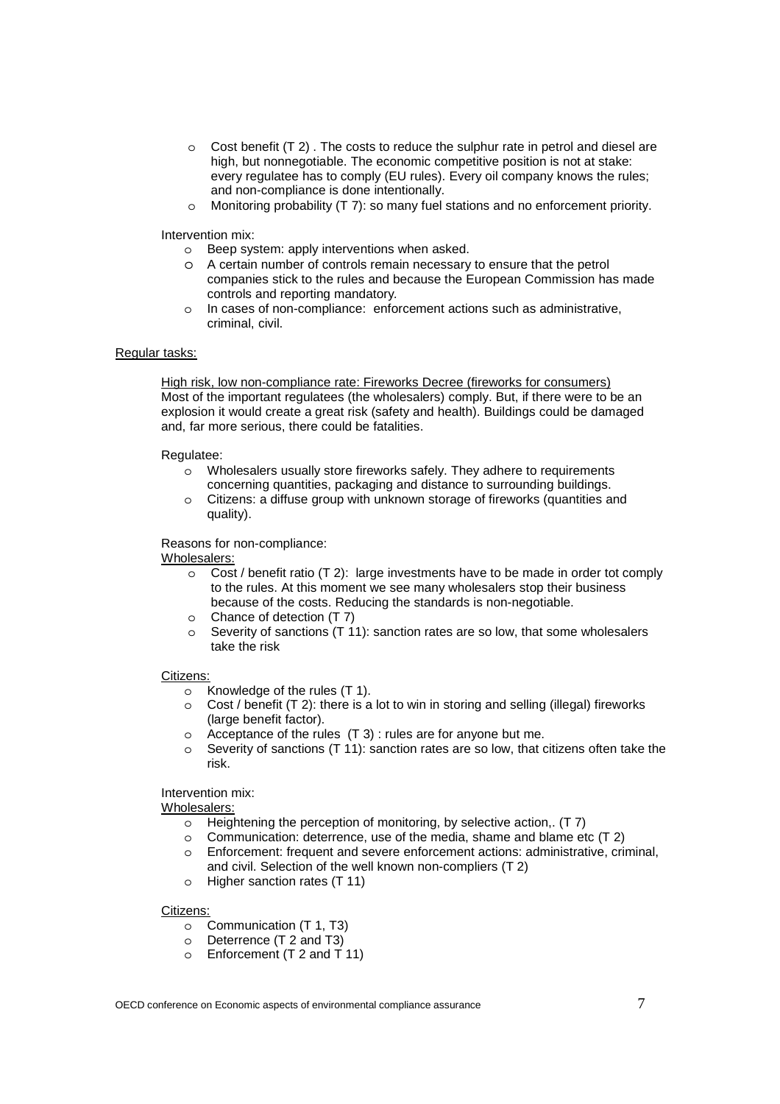- $\circ$  Cost benefit (T 2). The costs to reduce the sulphur rate in petrol and diesel are high, but nonnegotiable. The economic competitive position is not at stake: every regulatee has to comply (EU rules). Every oil company knows the rules; and non-compliance is done intentionally.
- o Monitoring probability (T 7): so many fuel stations and no enforcement priority.

Intervention mix:

- o Beep system: apply interventions when asked.
- o A certain number of controls remain necessary to ensure that the petrol companies stick to the rules and because the European Commission has made controls and reporting mandatory*.*
- o In cases of non-compliance: enforcement actions such as administrative, criminal, civil.

## Regular tasks:

High risk, low non-compliance rate: Fireworks Decree (fireworks for consumers) Most of the important regulatees (the wholesalers) comply. But, if there were to be an explosion it would create a great risk (safety and health). Buildings could be damaged and, far more serious, there could be fatalities.

### Regulatee:

- o Wholesalers usually store fireworks safely. They adhere to requirements concerning quantities, packaging and distance to surrounding buildings.
- o Citizens: a diffuse group with unknown storage of fireworks (quantities and quality).

### Reasons for non-compliance:

### Wholesalers:

- $\circ$  Cost / benefit ratio (T 2): large investments have to be made in order tot comply to the rules. At this moment we see many wholesalers stop their business because of the costs. Reducing the standards is non-negotiable.
- o Chance of detection (T 7)
- o Severity of sanctions  $(T 11)$ : sanction rates are so low, that some wholesalers take the risk

### Citizens:

- o Knowledge of the rules (T 1).
- $\circ$  Cost / benefit (T 2): there is a lot to win in storing and selling (illegal) fireworks (large benefit factor).
- o Acceptance of the rules (T 3) : rules are for anyone but me.
- $\circ$  Severity of sanctions (T 11): sanction rates are so low, that citizens often take the risk.

## Intervention mix:

Wholesalers:

- o Heightening the perception of monitoring, by selective action,. (T 7)
- 
- o Communication: deterrence, use of the media, shame and blame etc (T 2) o Enforcement: frequent and severe enforcement actions: administrative. criti Enforcement: frequent and severe enforcement actions: administrative, criminal, and civil. Selection of the well known non-compliers (T 2)
- o Higher sanction rates (T 11)

### Citizens:

- o Communication (T 1, T3)
- o Deterrence (T 2 and T3)
- o Enforcement (T 2 and T 11)